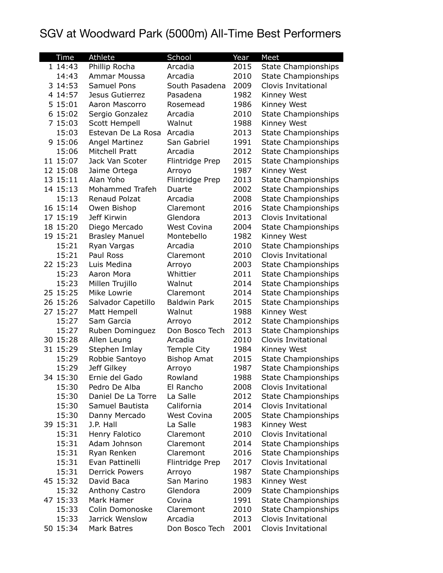## SGV at Woodward Park (5000m) All-Time Best Performers

| <b>Time</b>       | <b>Athlete</b>                | School                            | Year         | Meet                                              |
|-------------------|-------------------------------|-----------------------------------|--------------|---------------------------------------------------|
| 1 14:43           | Phillip Rocha                 | Arcadia                           | 2015         | <b>State Championships</b>                        |
| 14:43             | Ammar Moussa                  | Arcadia                           | 2010         | <b>State Championships</b>                        |
| 3 14:53           | <b>Samuel Pons</b>            | South Pasadena                    | 2009         | Clovis Invitational                               |
| 4 14:57           | Jesus Gutierrez               | Pasadena                          | 1982         | Kinney West                                       |
| 5 15:01           | Aaron Mascorro                | Rosemead                          | 1986         | Kinney West                                       |
| 6 15:02           | Sergio Gonzalez               | Arcadia                           | 2010         | <b>State Championships</b>                        |
| 7 15:03           | Scott Hempell                 | Walnut                            | 1988         | Kinney West                                       |
| 15:03             | Estevan De La Rosa            | Arcadia                           | 2013         | <b>State Championships</b>                        |
| 9 15:06           | <b>Angel Martinez</b>         | San Gabriel                       | 1991         | <b>State Championships</b>                        |
| 15:06             | <b>Mitchell Pratt</b>         | Arcadia                           | 2012         | <b>State Championships</b>                        |
| 11 15:07          | Jack Van Scoter               | Flintridge Prep                   | 2015         | <b>State Championships</b>                        |
| 12 15:08          | Jaime Ortega                  | Arroyo                            | 1987         | Kinney West                                       |
| 13 15:11          | Alan Yoho                     | Flintridge Prep                   | 2013         | <b>State Championships</b>                        |
| 14 15:13          | Mohammed Trafeh               | Duarte                            | 2002         | <b>State Championships</b>                        |
| 15:13             | Renaud Polzat                 | Arcadia                           | 2008         | <b>State Championships</b>                        |
| 16 15:14          | Owen Bishop                   | Claremont                         | 2016         | <b>State Championships</b>                        |
| 17 15:19          | Jeff Kirwin                   | Glendora                          | 2013         | Clovis Invitational                               |
| 18 15:20          | Diego Mercado                 | <b>West Covina</b>                | 2004         | <b>State Championships</b>                        |
| 19 15:21          | <b>Brasley Manuel</b>         | Montebello                        | 1982         | Kinney West                                       |
| 15:21             | Ryan Vargas                   | Arcadia                           | 2010         | <b>State Championships</b>                        |
| 15:21             | Paul Ross                     | Claremont                         | 2010         | <b>Clovis Invitational</b>                        |
| 22 15:23          | Luis Medina                   | Arroyo                            | 2003         | <b>State Championships</b>                        |
| 15:23             | Aaron Mora                    | Whittier                          | 2011         | <b>State Championships</b>                        |
| 15:23             | Millen Trujillo               | Walnut                            | 2014         | <b>State Championships</b>                        |
| 25 15:25          | Mike Lowrie                   | Claremont                         | 2014         | <b>State Championships</b>                        |
| 26 15:26          | Salvador Capetillo            | <b>Baldwin Park</b>               | 2015         | <b>State Championships</b>                        |
| 27 15:27          | Matt Hempell                  | Walnut                            | 1988         | Kinney West                                       |
| 15:27             | Sam Garcia                    | Arroyo                            | 2012         | <b>State Championships</b>                        |
| 15:27             | Ruben Dominguez               | Don Bosco Tech                    | 2013         | <b>State Championships</b>                        |
| 30 15:28          | Allen Leung                   | Arcadia                           | 2010         | Clovis Invitational                               |
| 31 15:29<br>15:29 | Stephen Imlay                 | Temple City<br><b>Bishop Amat</b> | 1984<br>2015 | Kinney West                                       |
| 15:29             | Robbie Santoyo<br>Jeff Gilkey |                                   | 1987         | <b>State Championships</b>                        |
| 34 15:30          | Ernie del Gado                | Arroyo<br>Rowland                 | 1988         | <b>State Championships</b>                        |
| 15:30             | Pedro De Alba                 | El Rancho                         | 2008         | <b>State Championships</b><br>Clovis Invitational |
| 15:30             | Daniel De La Torre            | La Salle                          | 2012         | <b>State Championships</b>                        |
| 15:30             | Samuel Bautista               | California                        | 2014         | Clovis Invitational                               |
| 15:30             | Danny Mercado                 | <b>West Covina</b>                | 2005         | <b>State Championships</b>                        |
| 39 15:31          | J.P. Hall                     | La Salle                          | 1983         | Kinney West                                       |
| 15:31             | Henry Falotico                | Claremont                         | 2010         | Clovis Invitational                               |
| 15:31             | Adam Johnson                  | Claremont                         | 2014         | <b>State Championships</b>                        |
| 15:31             | Ryan Renken                   | Claremont                         | 2016         | <b>State Championships</b>                        |
| 15:31             | Evan Pattinelli               | Flintridge Prep                   | 2017         | Clovis Invitational                               |
| 15:31             | <b>Derrick Powers</b>         | Arroyo                            | 1987         | <b>State Championships</b>                        |
| 45 15:32          | David Baca                    | San Marino                        | 1983         | Kinney West                                       |
| 15:32             | Anthony Castro                | Glendora                          | 2009         | <b>State Championships</b>                        |
| 47 15:33          | Mark Hamer                    | Covina                            | 1991         | <b>State Championships</b>                        |
| 15:33             | Colin Domonoske               | Claremont                         | 2010         | <b>State Championships</b>                        |
| 15:33             | Jarrick Wenslow               | Arcadia                           | 2013         | Clovis Invitational                               |
| 50 15:34          | Mark Batres                   | Don Bosco Tech                    | 2001         | Clovis Invitational                               |